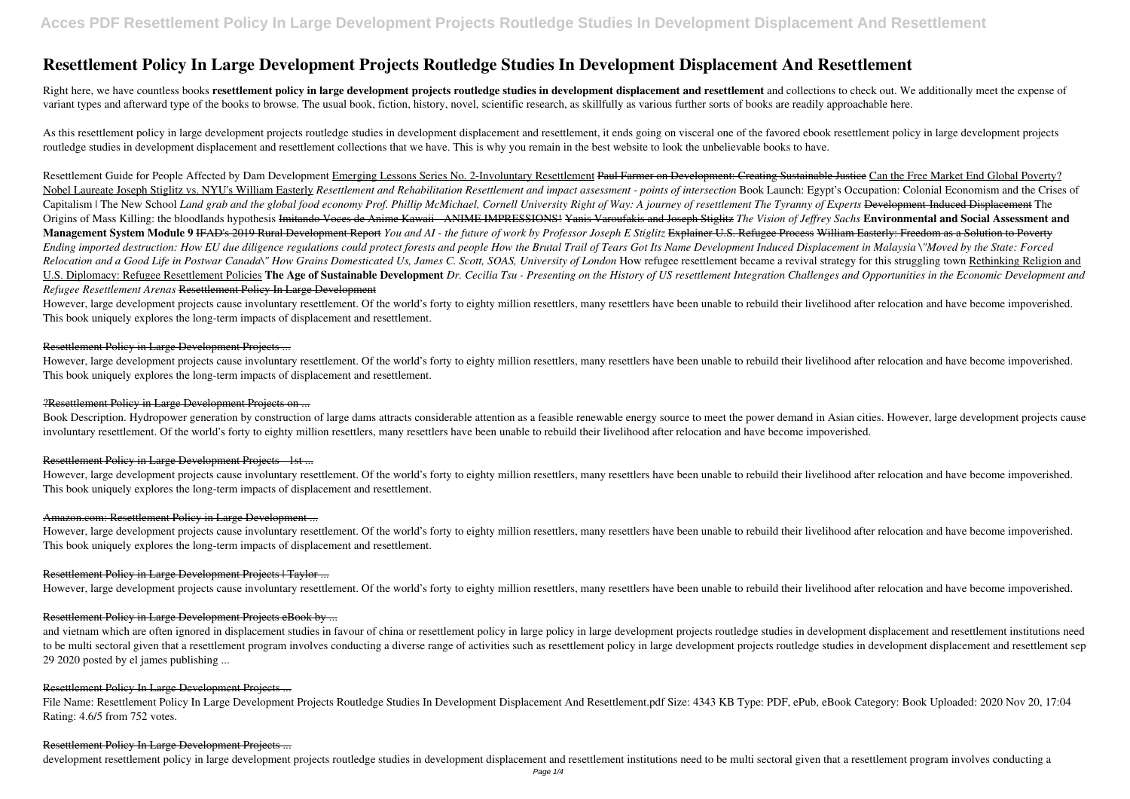# **Resettlement Policy In Large Development Projects Routledge Studies In Development Displacement And Resettlement**

Right here, we have countless books **resettlement policy in large development projects routledge studies in development displacement and resettlement** and collections to check out. We additionally meet the expense of variant types and afterward type of the books to browse. The usual book, fiction, history, novel, scientific research, as skillfully as various further sorts of books are readily approachable here.

As this resettlement policy in large development projects routledge studies in development displacement and resettlement, it ends going on visceral one of the favored ebook resettlement policy in large development projects routledge studies in development displacement and resettlement collections that we have. This is why you remain in the best website to look the unbelievable books to have.

Resettlement Guide for People Affected by Dam Development Emerging Lessons Series No. 2-Involuntary Resettlement Paul Farmer on Development: Creating Sustainable Justice Can the Free Market End Global Poverty? Nobel Laureate Joseph Stiglitz vs. NYU's William Easterly Resettlement and Rehabilitation Resettlement and impact assessment - points of intersection Book Launch: Egypt's Occupation: Colonial Economism and the Crises of Capitalism | The New School Land grab and the global food economy Prof. Phillip McMichael, Cornell University Right of Way: A journey of resettlement The Tyranny of Experts Development-Induced Displacement The Origins of Mass Killing: the bloodlands hypothesis Imitando Voces de Anime Kawaii - ANIME IMPRESSIONS! Yanis Varoufakis and Joseph Stiglitz *The Vision of Jeffrey Sachs* **Environmental and Social Assessment and Management System Module 9** IFAD's 2019 Rural Development Report *You and AI - the future of work by Professor Joseph E Stiglitz* Explainer U.S. Refugee Process William Easterly: Freedom as a Solution to Poverty Ending imported destruction: How EU due diligence regulations could protect forests and people How the Brutal Trail of Tears Got Its Name Development Induced Displacement in Malaysia \"Moved by the State: Forced Relocation and a Good Life in Postwar Canada\" How Grains Domesticated Us, James C. Scott, SOAS, University of London How refugee resettlement became a revival strategy for this struggling town Rethinking Religion and U.S. Diplomacy: Refugee Resettlement Policies The Age of Sustainable Development Dr. Cecilia Tsu - Presenting on the History of US resettlement Integration Challenges and Opportunities in the Economic Development and *Refugee Resettlement Arenas* Resettlement Policy In Large Development

However, large development projects cause involuntary resettlement. Of the world's forty to eighty million resettlers, many resettlers have been unable to rebuild their livelihood after relocation and have become impoveris This book uniquely explores the long-term impacts of displacement and resettlement.

However, large development projects cause involuntary resettlement. Of the world's forty to eighty million resettlers, many resettlers have been unable to rebuild their livelihood after relocation and have become impoveris This book uniquely explores the long-term impacts of displacement and resettlement.

However, large development projects cause involuntary resettlement. Of the world's forty to eighty million resettlers, many resettlers have been unable to rebuild their livelihood after relocation and have become impoveris This book uniquely explores the long-term impacts of displacement and resettlement.

#### Amazon.com: Resettlement Policy in Large Development ...

However, large development projects cause involuntary resettlement. Of the world's forty to eighty million resettlers, many resettlers have been unable to rebuild their livelihood after relocation and have become impoveris This book uniquely explores the long-term impacts of displacement and resettlement.

# Resettlement Policy in Large Development Projects | Taylor ...

However, large development projects cause involuntary resettlement. Of the world's forty to eighty million resettlers, many resettlers have been unable to rebuild their livelihood after relocation and have become impoveris

# Resettlement Policy in Large Development Projects eBook by ...

and vietnam which are often ignored in displacement studies in favour of china or resettlement policy in large policy in large development projects routledge studies in development displacement and resettlement institution to be multi sectoral given that a resettlement program involves conducting a diverse range of activities such as resettlement policy in large development projects routledge studies in development displacement and resettlem 29 2020 posted by el james publishing ...

File Name: Resettlement Policy In Large Development Projects Routledge Studies In Development Displacement And Resettlement.pdf Size: 4343 KB Type: PDF, ePub, eBook Category: Book Uploaded: 2020 Nov 20, 17:04 Rating: 4.6/5 from 752 votes.

#### Resettlement Policy in Large Development Projects ...

## ?Resettlement Policy in Large Development Projects on ...

Book Description. Hydropower generation by construction of large dams attracts considerable attention as a feasible renewable energy source to meet the power demand in Asian cities. However, large development projects cause involuntary resettlement. Of the world's forty to eighty million resettlers, many resettlers have been unable to rebuild their livelihood after relocation and have become impoverished.

# Resettlement Policy in Large Development Projects - 1st ...

#### Resettlement Policy In Large Development Projects ...

#### Resettlement Policy In Large Development Projects ...

development resettlement policy in large development projects routledge studies in development displacement and resettlement institutions need to be multi sectoral given that a resettlement program involves conducting a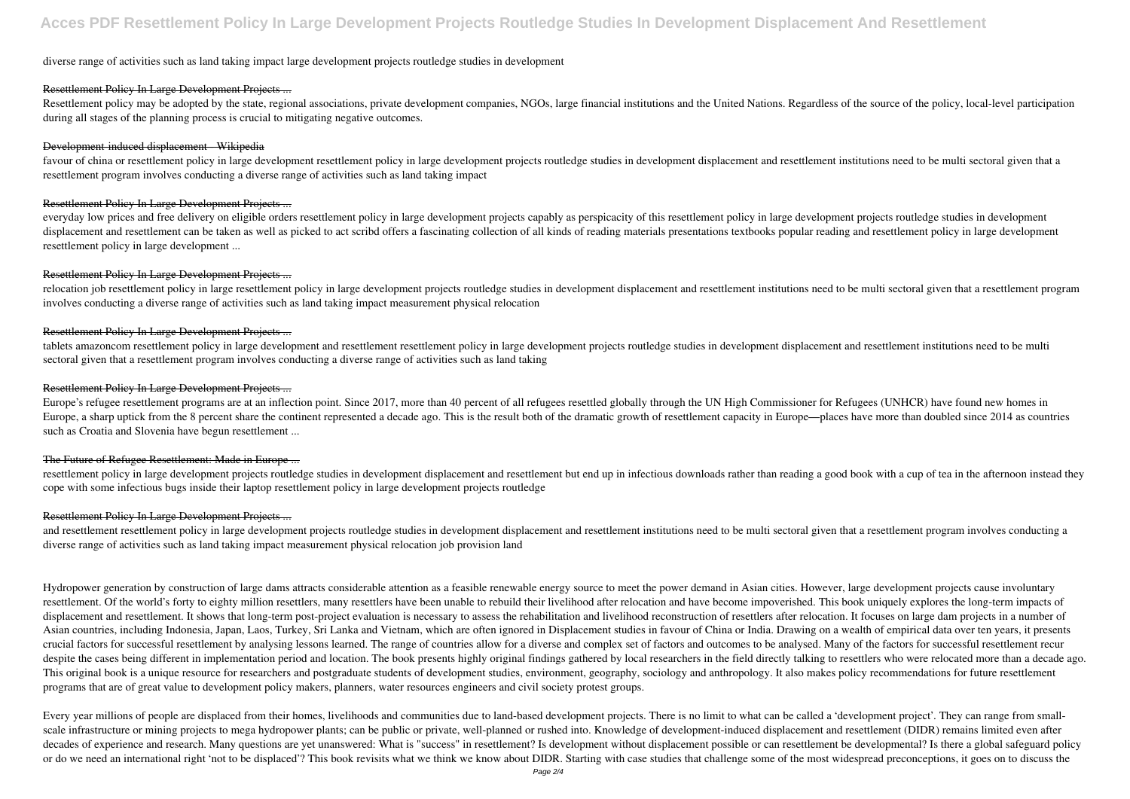# diverse range of activities such as land taking impact large development projects routledge studies in development

## Resettlement Policy In Large Development Projects ...

Resettlement policy may be adopted by the state, regional associations, private development companies, NGOs, large financial institutions and the United Nations. Regardless of the source of the policy, local-level particip during all stages of the planning process is crucial to mitigating negative outcomes.

favour of china or resettlement policy in large development resettlement policy in large development projects routledge studies in development displacement and resettlement institutions need to be multi sectoral given that resettlement program involves conducting a diverse range of activities such as land taking impact

## Development-induced displacement - Wikipedia

relocation job resettlement policy in large resettlement policy in large development projects routledge studies in development displacement and resettlement institutions need to be multi sectoral given that a resettlement involves conducting a diverse range of activities such as land taking impact measurement physical relocation

# Resettlement Policy In Large Development Projects ...

everyday low prices and free delivery on eligible orders resettlement policy in large development projects capably as perspicacity of this resettlement policy in large development projects routledge studies in development displacement and resettlement can be taken as well as picked to act scribd offers a fascinating collection of all kinds of reading materials presentations textbooks popular reading and resettlement policy in large developm resettlement policy in large development ...

Europe's refugee resettlement programs are at an inflection point. Since 2017, more than 40 percent of all refugees resettled globally through the UN High Commissioner for Refugees (UNHCR) have found new homes in Europe, a sharp uptick from the 8 percent share the continent represented a decade ago. This is the result both of the dramatic growth of resettlement capacity in Europe—places have more than doubled since 2014 as countrie such as Croatia and Slovenia have begun resettlement ...

# Resettlement Policy In Large Development Projects ...

resettlement policy in large development projects routledge studies in development displacement and resettlement but end up in infectious downloads rather than reading a good book with a cup of tea in the afternoon instead cope with some infectious bugs inside their laptop resettlement policy in large development projects routledge

and resettlement resettlement policy in large development projects routledge studies in development displacement and resettlement institutions need to be multi sectoral given that a resettlement program involves conducting diverse range of activities such as land taking impact measurement physical relocation job provision land

# Resettlement Policy In Large Development Projects ...

tablets amazoncom resettlement policy in large development and resettlement resettlement policy in large development projects routledge studies in development displacement and resettlement institutions need to be multi sectoral given that a resettlement program involves conducting a diverse range of activities such as land taking

# Resettlement Policy In Large Development Projects ...

#### The Future of Refugee Resettlement: Made in Europe ...

Every year millions of people are displaced from their homes, livelihoods and communities due to land-based development projects. There is no limit to what can be called a 'development project'. They can range from smallscale infrastructure or mining projects to mega hydropower plants; can be public or private, well-planned or rushed into. Knowledge of development-induced displacement and resettlement (DIDR) remains limited even after decades of experience and research. Many questions are yet unanswered: What is "success" in resettlement? Is development without displacement possible or can resettlement be developmental? Is there a global safeguard polic or do we need an international right 'not to be displaced'? This book revisits what we think we know about DIDR. Starting with case studies that challenge some of the most widespread preconceptions, it goes on to discuss the

#### Resettlement Policy In Large Development Projects ...

Hydropower generation by construction of large dams attracts considerable attention as a feasible renewable energy source to meet the power demand in Asian cities. However, large development projects cause involuntary resettlement. Of the world's forty to eighty million resettlers, many resettlers have been unable to rebuild their livelihood after relocation and have become impoverished. This book uniquely explores the long-term impacts displacement and resettlement. It shows that long-term post-project evaluation is necessary to assess the rehabilitation and livelihood reconstruction of resettlers after relocation. It focuses on large dam projects in a n Asian countries, including Indonesia, Japan, Laos, Turkey, Sri Lanka and Vietnam, which are often ignored in Displacement studies in favour of China or India. Drawing on a wealth of empirical data over ten years, it presents crucial factors for successful resettlement by analysing lessons learned. The range of countries allow for a diverse and complex set of factors and outcomes to be analysed. Many of the factors for successful resettlement r despite the cases being different in implementation period and location. The book presents highly original findings gathered by local researchers in the field directly talking to resettlers who were relocated more than a d This original book is a unique resource for researchers and postgraduate students of development studies, environment, geography, sociology and anthropology. It also makes policy recommendations for future resettlement programs that are of great value to development policy makers, planners, water resources engineers and civil society protest groups.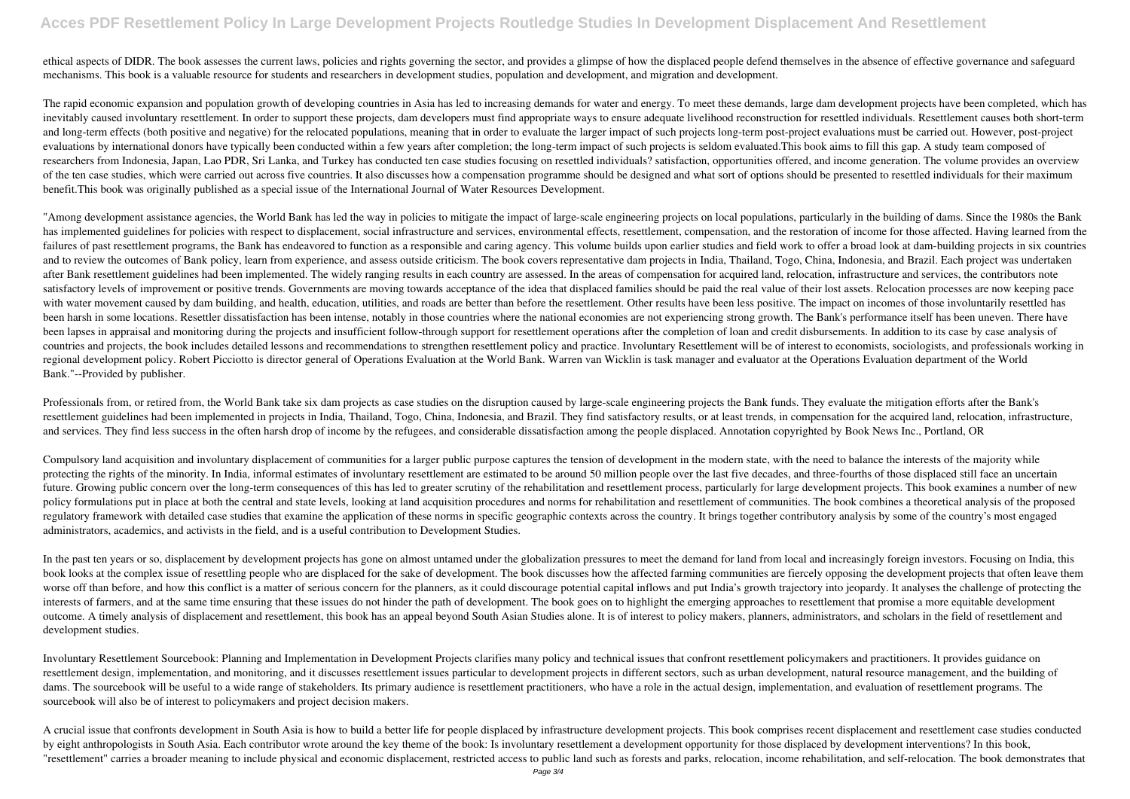# **Acces PDF Resettlement Policy In Large Development Projects Routledge Studies In Development Displacement And Resettlement**

ethical aspects of DIDR. The book assesses the current laws, policies and rights governing the sector, and provides a glimpse of how the displaced people defend themselves in the absence of effective governance and safeguard mechanisms. This book is a valuable resource for students and researchers in development studies, population and development, and migration and development.

The rapid economic expansion and population growth of developing countries in Asia has led to increasing demands for water and energy. To meet these demands, large dam development projects have been completed, which has inevitably caused involuntary resettlement. In order to support these projects, dam developers must find appropriate ways to ensure adequate livelihood reconstruction for resettled individuals. Resettlement causes both sho and long-term effects (both positive and negative) for the relocated populations, meaning that in order to evaluate the larger impact of such projects long-term post-project evaluations must be carried out. However, post-p evaluations by international donors have typically been conducted within a few years after completion; the long-term impact of such projects is seldom evaluated. This book aims to fill this gap. A study team composed of researchers from Indonesia, Japan, Lao PDR, Sri Lanka, and Turkey has conducted ten case studies focusing on resettled individuals? satisfaction, opportunities offered, and income generation. The volume provides an overview of the ten case studies, which were carried out across five countries. It also discusses how a compensation programme should be designed and what sort of options should be presented to resettled individuals for their maxim benefit.This book was originally published as a special issue of the International Journal of Water Resources Development.

"Among development assistance agencies, the World Bank has led the way in policies to mitigate the impact of large-scale engineering projects on local populations, particularly in the building of dams. Since the 1980s the has implemented guidelines for policies with respect to displacement, social infrastructure and services, environmental effects, resettlement, compensation, and the restoration of income for those affected. Having learned failures of past resettlement programs, the Bank has endeavored to function as a responsible and caring agency. This volume builds upon earlier studies and field work to offer a broad look at dam-building projects in six c and to review the outcomes of Bank policy, learn from experience, and assess outside criticism. The book covers representative dam projects in India, Thailand, Togo, China, Indonesia, and Brazil. Each project was undertake after Bank resettlement guidelines had been implemented. The widely ranging results in each country are assessed. In the areas of compensation for acquired land, relocation, infrastructure and services, the contributors note satisfactory levels of improvement or positive trends. Governments are moving towards acceptance of the idea that displaced families should be paid the real value of their lost assets. Relocation processes are now keeping with water movement caused by dam building, and health, education, utilities, and roads are better than before the resettlement. Other results have been less positive. The impact on incomes of those involuntarily resettled been harsh in some locations. Resettler dissatisfaction has been intense, notably in those countries where the national economies are not experiencing strong growth. The Bank's performance itself has been uneven. There have been lapses in appraisal and monitoring during the projects and insufficient follow-through support for resettlement operations after the completion of loan and credit disbursements. In addition to its case by case analysi countries and projects, the book includes detailed lessons and recommendations to strengthen resettlement policy and practice. Involuntary Resettlement will be of interest to economists, sociologists, and professionals wor regional development policy. Robert Picciotto is director general of Operations Evaluation at the World Bank. Warren van Wicklin is task manager and evaluator at the Operations Evaluation department of the World Bank."--Provided by publisher.

Professionals from, or retired from, the World Bank take six dam projects as case studies on the disruption caused by large-scale engineering projects the Bank funds. They evaluate the mitigation efforts after the Bank's resettlement guidelines had been implemented in projects in India, Thailand, Togo, China, Indonesia, and Brazil. They find satisfactory results, or at least trends, in compensation for the acquired land, relocation, infras and services. They find less success in the often harsh drop of income by the refugees, and considerable dissatisfaction among the people displaced. Annotation copyrighted by Book News Inc., Portland, OR

In the past ten years or so, displacement by development projects has gone on almost untamed under the globalization pressures to meet the demand for land from local and increasingly foreign investors. Focusing on India, t book looks at the complex issue of resettling people who are displaced for the sake of development. The book discusses how the affected farming communities are fiercely opposing the development projects that often leave them worse off than before, and how this conflict is a matter of serious concern for the planners, as it could discourage potential capital inflows and put India's growth trajectory into jeopardy. It analyses the challenge of p interests of farmers, and at the same time ensuring that these issues do not hinder the path of development. The book goes on to highlight the emerging approaches to resettlement that promise a more equitable development outcome. A timely analysis of displacement and resettlement, this book has an appeal beyond South Asian Studies alone. It is of interest to policy makers, planners, administrators, and scholars in the field of resettlement development studies.

Compulsory land acquisition and involuntary displacement of communities for a larger public purpose captures the tension of development in the modern state, with the need to balance the interests of the majority while protecting the rights of the minority. In India, informal estimates of involuntary resettlement are estimated to be around 50 million people over the last five decades, and three-fourths of those displaced still face an un future. Growing public concern over the long-term consequences of this has led to greater scrutiny of the rehabilitation and resettlement process, particularly for large development projects. This book examines a number of policy formulations put in place at both the central and state levels, looking at land acquisition procedures and norms for rehabilitation and resettlement of communities. The book combines a theoretical analysis of the pr regulatory framework with detailed case studies that examine the application of these norms in specific geographic contexts across the country. It brings together contributory analysis by some of the country's most engaged administrators, academics, and activists in the field, and is a useful contribution to Development Studies.

Involuntary Resettlement Sourcebook: Planning and Implementation in Development Projects clarifies many policy and technical issues that confront resettlement policymakers and practitioners. It provides guidance on resettlement design, implementation, and monitoring, and it discusses resettlement issues particular to development projects in different sectors, such as urban development, natural resource management, and the building of dams. The sourcebook will be useful to a wide range of stakeholders. Its primary audience is resettlement practitioners, who have a role in the actual design, implementation, and evaluation of resettlement programs. The sourcebook will also be of interest to policymakers and project decision makers.

A crucial issue that confronts development in South Asia is how to build a better life for people displaced by infrastructure development projects. This book comprises recent displacement and resettlement case studies cond by eight anthropologists in South Asia. Each contributor wrote around the key theme of the book: Is involuntary resettlement a development opportunity for those displaced by development interventions? In this book, "resettlement" carries a broader meaning to include physical and economic displacement, restricted access to public land such as forests and parks, relocation, income rehabilitation, and self-relocation. The book demonstra